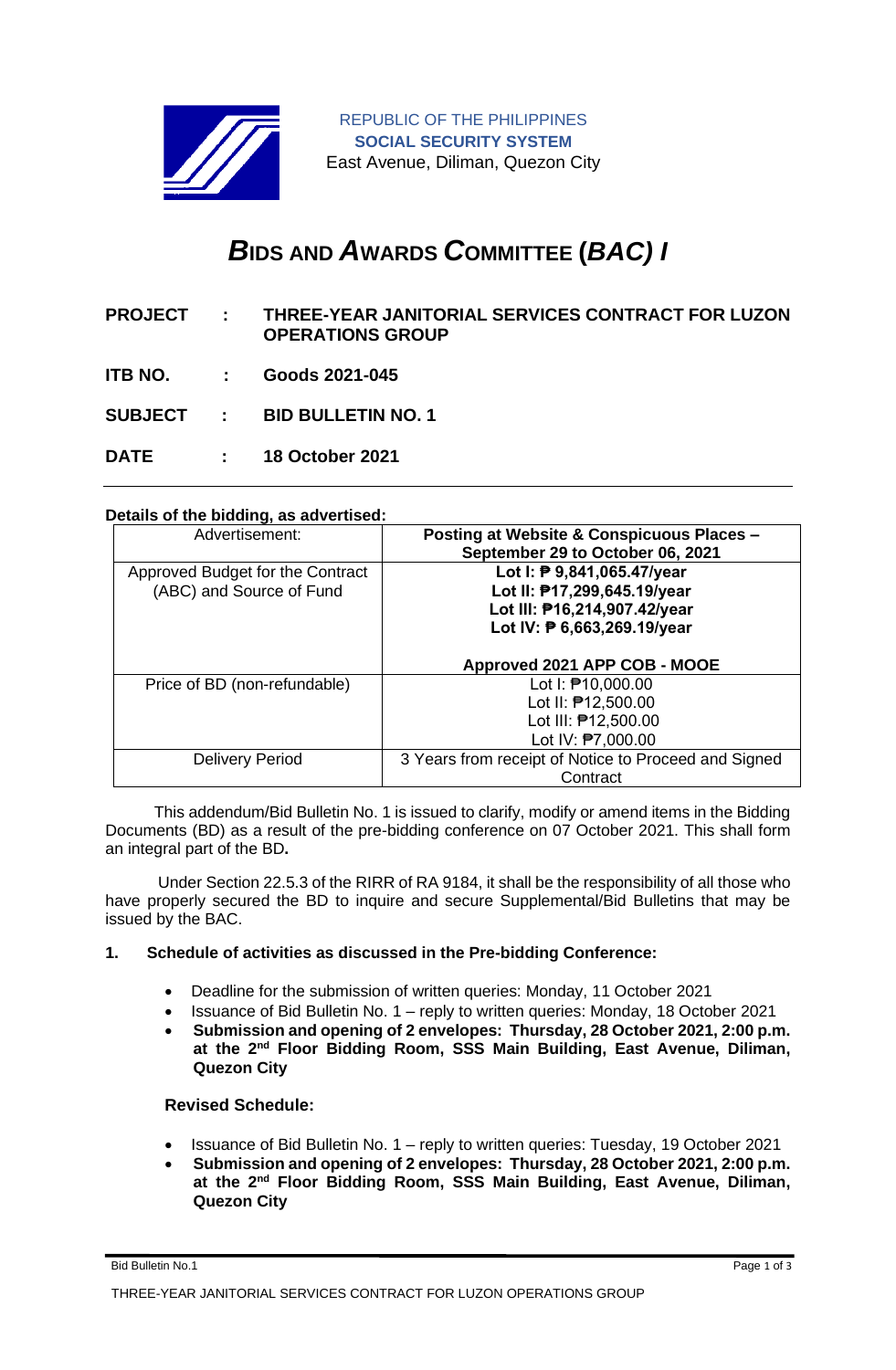

REPUBLIC OF THE PHILIPPINES **SOCIAL SECURITY SYSTEM** East Avenue, Diliman, Quezon City

# *B***IDS AND** *A***WARDS** *C***OMMITTEE (***BAC) I*

- **PROJECT : THREE-YEAR JANITORIAL SERVICES CONTRACT FOR LUZON OPERATIONS GROUP**
- **ITB NO. : Goods 2021-045**

**SUBJECT : BID BULLETIN NO. 1**

**DATE : 18 October 2021**

## **Details of the bidding, as advertised:**

| Advertisement:                                               | <b>Posting at Website &amp; Conspicuous Places -</b><br>September 29 to October 06, 2021                                 |
|--------------------------------------------------------------|--------------------------------------------------------------------------------------------------------------------------|
| Approved Budget for the Contract<br>(ABC) and Source of Fund | Lot I: ₱ 9,841,065.47/year<br>Lot II: P17,299,645.19/year<br>Lot III: P16,214,907.42/year<br>Lot IV: ₱ 6,663,269.19/year |
|                                                              | Approved 2021 APP COB - MOOE                                                                                             |
| Price of BD (non-refundable)                                 | Lot I: ₱10,000.00<br>Lot II: 212,500.00<br>Lot III: 012,500.00<br>Lot IV: <sup>2</sup> 7,000.00                          |
| Delivery Period                                              | 3 Years from receipt of Notice to Proceed and Signed<br>Contract                                                         |

 This addendum/Bid Bulletin No. 1 is issued to clarify, modify or amend items in the Bidding Documents (BD) as a result of the pre-bidding conference on 07 October 2021. This shall form an integral part of the BD**.**

Under Section 22.5.3 of the RIRR of RA 9184, it shall be the responsibility of all those who have properly secured the BD to inquire and secure Supplemental/Bid Bulletins that may be issued by the BAC.

#### **1. Schedule of activities as discussed in the Pre-bidding Conference:**

- Deadline for the submission of written queries: Monday, 11 October 2021
- Issuance of Bid Bulletin No. 1 reply to written queries: Monday, 18 October 2021
- **Submission and opening of 2 envelopes: Thursday, 28 October 2021, 2:00 p.m. at the 2nd Floor Bidding Room, SSS Main Building, East Avenue, Diliman, Quezon City**

## **Revised Schedule:**

- Issuance of Bid Bulletin No. 1 reply to written queries: Tuesday, 19 October 2021
- **Submission and opening of 2 envelopes: Thursday, 28 October 2021, 2:00 p.m. at the 2nd Floor Bidding Room, SSS Main Building, East Avenue, Diliman, Quezon City**

Bid Bulletin No.1 Page 1 of 3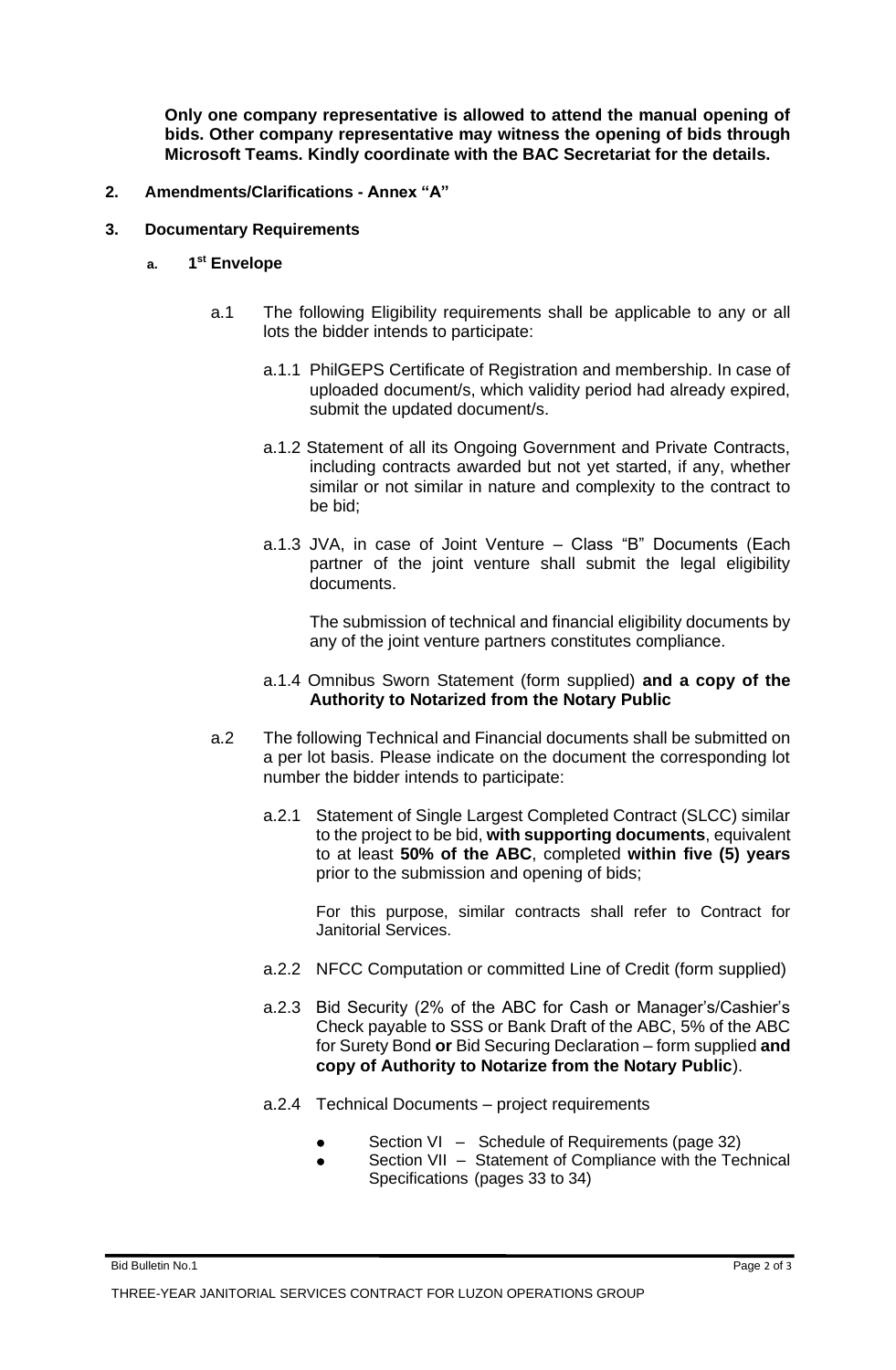**Only one company representative is allowed to attend the manual opening of bids. Other company representative may witness the opening of bids through Microsoft Teams. Kindly coordinate with the BAC Secretariat for the details.**

- **2. Amendments/Clarifications - Annex "A"**
- **3. Documentary Requirements**
	- **a. 1 st Envelope**
		- a.1 The following Eligibility requirements shall be applicable to any or all lots the bidder intends to participate:
			- a.1.1 PhilGEPS Certificate of Registration and membership. In case of uploaded document/s, which validity period had already expired, submit the updated document/s.
			- a.1.2 Statement of all its Ongoing Government and Private Contracts, including contracts awarded but not yet started, if any, whether similar or not similar in nature and complexity to the contract to be bid;
			- a.1.3 JVA, in case of Joint Venture Class "B" Documents (Each partner of the joint venture shall submit the legal eligibility documents.

The submission of technical and financial eligibility documents by any of the joint venture partners constitutes compliance.

#### a.1.4 Omnibus Sworn Statement (form supplied) **and a copy of the Authority to Notarized from the Notary Public**

- a.2 The following Technical and Financial documents shall be submitted on a per lot basis. Please indicate on the document the corresponding lot number the bidder intends to participate:
	- a.2.1 Statement of Single Largest Completed Contract (SLCC) similar to the project to be bid, **with supporting documents**, equivalent to at least **50% of the ABC**, completed **within five (5) years**  prior to the submission and opening of bids;

For this purpose, similar contracts shall refer to Contract for Janitorial Services.

- a.2.2 NFCC Computation or committed Line of Credit (form supplied)
- a.2.3 Bid Security (2% of the ABC for Cash or Manager's/Cashier's Check payable to SSS or Bank Draft of the ABC, 5% of the ABC for Surety Bond **or** Bid Securing Declaration – form supplied **and copy of Authority to Notarize from the Notary Public**).
- a.2.4 Technical Documents project requirements
	- Section VI Schedule of Requirements (page 32)
	- Section VII Statement of Compliance with the Technical Specifications (pages 33 to 34)